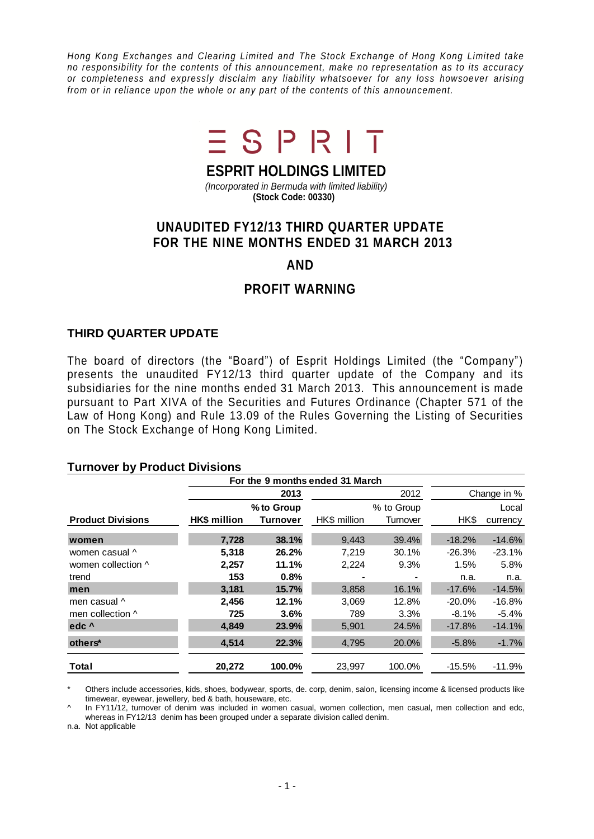*Hong Kong Exchanges and Clearing Limited and The Stock Exchange of Hong Kong Limited take no responsibility for the contents of this announcement, make no representation as to its accuracy or completeness and expressly disclaim any liability whatsoever for any loss howsoever arising from or in reliance upon the whole or any part of the contents of this announcement.*



# **ESPRIT HOLDINGS LIMITED**

*(Incorporated in Bermuda with limited liability)* **(Stock Code: 00330)**

# **UNAUDITED FY12/13 THIRD QUARTER UPDATE FOR THE NINE MONTHS ENDED 31 MARCH 2013**

### **AND**

## **PROFIT WARNING**

#### **THIRD QUARTER UPDATE**

The board of directors (the "Board") of Esprit Holdings Limited (the "Company") presents the unaudited FY12/13 third quarter update of the Company and its subsidiaries for the nine months ended 31 March 2013. This announcement is made pursuant to Part XIVA of the Securities and Futures Ordinance (Chapter 571 of the Law of Hong Kong) and Rule 13.09 of the Rules Governing the Listing of Securities on The Stock Exchange of Hong Kong Limited.

#### **Turnover by Product Divisions**

|                          | For the 9 months ended 31 March |          |              |             |          |          |
|--------------------------|---------------------------------|----------|--------------|-------------|----------|----------|
|                          | 2013                            |          | 2012         | Change in % |          |          |
|                          | % to Group                      |          | % to Group   |             | Local    |          |
| <b>Product Divisions</b> | HK\$ million                    | Turnover | HK\$ million | Turnover    | HK\$     | currency |
| women                    | 7.728                           | 38.1%    | 9.443        | 39.4%       | $-18.2%$ | $-14.6%$ |
| women casual ^           | 5,318                           | 26.2%    | 7,219        | 30.1%       | $-26.3%$ | $-23.1%$ |
| women collection ^       | 2,257                           | 11.1%    | 2,224        | 9.3%        | 1.5%     | 5.8%     |
| trend                    | 153                             | 0.8%     |              |             | n.a.     | n.a.     |
| men                      | 3.181                           | 15.7%    | 3,858        | 16.1%       | $-17.6%$ | $-14.5%$ |
| men casual ^             | 2,456                           | 12.1%    | 3,069        | 12.8%       | $-20.0%$ | $-16.8%$ |
| men collection ^         | 725                             | 3.6%     | 789          | 3.3%        | $-8.1\%$ | $-5.4%$  |
| edc <sup>^</sup>         | 4,849                           | 23.9%    | 5,901        | 24.5%       | $-17.8%$ | $-14.1%$ |
| others*                  | 4,514                           | 22.3%    | 4,795        | 20.0%       | $-5.8%$  | $-1.7%$  |
| Total                    | 20,272                          | 100.0%   | 23,997       | 100.0%      | $-15.5%$ | $-11.9%$ |

Others include accessories, kids, shoes, bodywear, sports, de. corp, denim, salon, licensing income & licensed products like timewear, eyewear, jewellery, bed & bath, houseware, etc.

^ In FY11/12, turnover of denim was included in women casual, women collection, men casual, men collection and edc, whereas in FY12/13 denim has been grouped under a separate division called denim.

n.a. Not applicable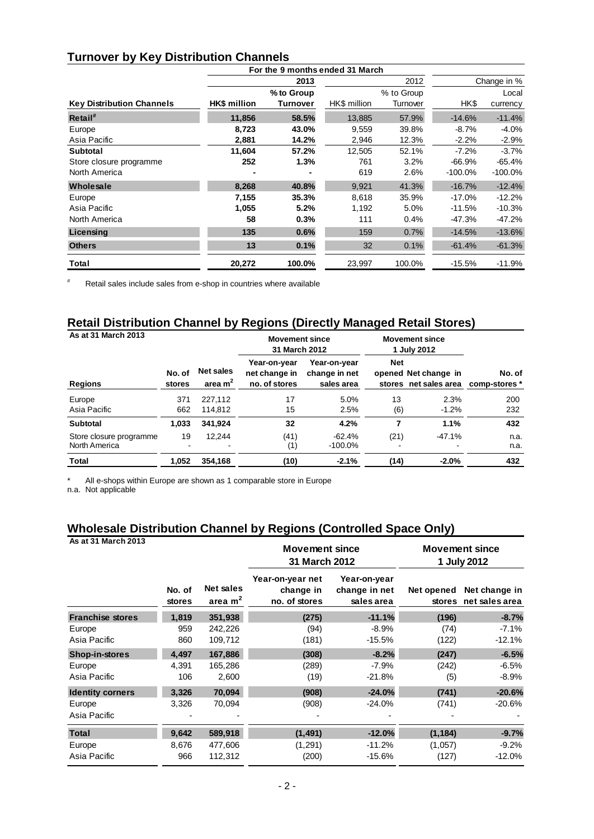### **Turnover by Key Distribution Channels**

|                                  |                     | For the 9 months ended 31 March |              |            |            |             |
|----------------------------------|---------------------|---------------------------------|--------------|------------|------------|-------------|
|                                  |                     | 2013                            |              | 2012       |            | Change in % |
|                                  |                     | % to Group                      |              | % to Group |            | Local       |
| <b>Key Distribution Channels</b> | <b>HK\$</b> million | Turnover                        | HK\$ million | Turnover   | HK\$       | currency    |
| Retail <sup>#</sup>              | 11,856              | 58.5%                           | 13,885       | 57.9%      | $-14.6%$   | $-11.4%$    |
| Europe                           | 8,723               | 43.0%                           | 9,559        | 39.8%      | $-8.7%$    | $-4.0%$     |
| Asia Pacific                     | 2,881               | 14.2%                           | 2,946        | 12.3%      | $-2.2%$    | $-2.9%$     |
| <b>Subtotal</b>                  | 11,604              | 57.2%                           | 12,505       | 52.1%      | $-7.2%$    | $-3.7%$     |
| Store closure programme          | 252                 | 1.3%                            | 761          | 3.2%       | $-66.9%$   | $-65.4%$    |
| North America                    |                     |                                 | 619          | 2.6%       | $-100.0\%$ | $-100.0\%$  |
| Wholesale                        | 8,268               | 40.8%                           | 9,921        | 41.3%      | $-16.7%$   | $-12.4%$    |
| Europe                           | 7,155               | 35.3%                           | 8,618        | 35.9%      | $-17.0%$   | $-12.2%$    |
| Asia Pacific                     | 1,055               | 5.2%                            | 1,192        | 5.0%       | $-11.5%$   | $-10.3%$    |
| North America                    | 58                  | 0.3%                            | 111          | 0.4%       | $-47.3%$   | $-47.2%$    |
| Licensing                        | 135                 | 0.6%                            | 159          | 0.7%       | $-14.5%$   | $-13.6%$    |
| <b>Others</b>                    | 13                  | 0.1%                            | 32           | 0.1%       | $-61.4%$   | $-61.3%$    |
| Total                            | 20,272              | 100.0%                          | 23,997       | 100.0%     | $-15.5%$   | $-11.9%$    |

# Retail sales include sales from e-shop in countries where available

### **Retail Distribution Channel by Regions (Directly Managed Retail Stores)**

| As at 31 March 2013                      |                  |                               | <b>Movement since</b><br>31 March 2012         |                                             |            | <b>Movement since</b><br>1 July 2012                        |              |
|------------------------------------------|------------------|-------------------------------|------------------------------------------------|---------------------------------------------|------------|-------------------------------------------------------------|--------------|
| <b>Regions</b>                           | No. of<br>stores | <b>Net sales</b><br>area $m2$ | Year-on-year<br>net change in<br>no. of stores | Year-on-year<br>change in net<br>sales area | <b>Net</b> | opened Net change in<br>stores net sales area comp-stores * | No. of       |
| Europe<br>Asia Pacific                   | 371<br>662       | 227.112<br>114,812            | 17<br>15                                       | 5.0%<br>2.5%                                | 13<br>(6)  | 2.3%<br>$-1.2\%$                                            | 200<br>232   |
| <b>Subtotal</b>                          | 1,033            | 341.924                       | 32                                             | 4.2%                                        | 7          | 1.1%                                                        | 432          |
| Store closure programme<br>North America | 19               | 12.244                        | (41)<br>(1)                                    | $-62.4%$<br>$-100.0\%$                      | (21)       | $-47.1%$                                                    | n.a.<br>n.a. |
| Total                                    | 1,052            | 354,168                       | (10)                                           | $-2.1%$                                     | (14)       | $-2.0%$                                                     | 432          |

All e-shops within Europe are shown as 1 comparable store in Europe

n.a. Not applicable

## **Wholesale Distribution Channel by Regions (Controlled Space Only)**

| As at 31 March 2013     |                         | <b>Movement since</b><br><b>31 March 2012</b> |                                                | <b>Movement since</b><br>1 July 2012        |                             |                                 |
|-------------------------|-------------------------|-----------------------------------------------|------------------------------------------------|---------------------------------------------|-----------------------------|---------------------------------|
|                         | No. of<br><b>stores</b> | Net sales<br>area $m2$                        | Year-on-year net<br>change in<br>no. of stores | Year-on-year<br>change in net<br>sales area | Net opened<br><b>stores</b> | Net change in<br>net sales area |
| <b>Franchise stores</b> | 1,819                   | 351,938                                       | (275)                                          | $-11.1%$                                    | (196)                       | $-8.7%$                         |
| Europe                  | 959                     | 242,226                                       | (94)                                           | $-8.9%$                                     | (74)                        | $-7.1\%$                        |
| Asia Pacific            | 860                     | 109,712                                       | (181)                                          | $-15.5%$                                    | (122)                       | $-12.1%$                        |
| <b>Shop-in-stores</b>   | 4,497                   | 167,886                                       | (308)                                          | $-8.2%$                                     | (247)                       | $-6.5%$                         |
| Europe                  | 4,391                   | 165,286                                       | (289)                                          | $-7.9%$                                     | (242)                       | $-6.5%$                         |
| Asia Pacific            | 106                     | 2,600                                         | (19)                                           | $-21.8%$                                    | (5)                         | $-8.9%$                         |
| <b>Identity corners</b> | 3,326                   | 70,094                                        | (908)                                          | $-24.0%$                                    | (741)                       | $-20.6%$                        |
| Europe                  | 3,326                   | 70,094                                        | (908)                                          | $-24.0%$                                    | (741)                       | $-20.6%$                        |
| Asia Pacific            |                         |                                               |                                                |                                             |                             |                                 |
| <b>Total</b>            | 9,642                   | 589,918                                       | (1, 491)                                       | $-12.0%$                                    | (1, 184)                    | $-9.7%$                         |
| Europe                  | 8,676                   | 477,606                                       | (1, 291)                                       | $-11.2%$                                    | (1,057)                     | $-9.2%$                         |
| Asia Pacific            | 966                     | 112,312                                       | (200)                                          | $-15.6%$                                    | (127)                       | $-12.0%$                        |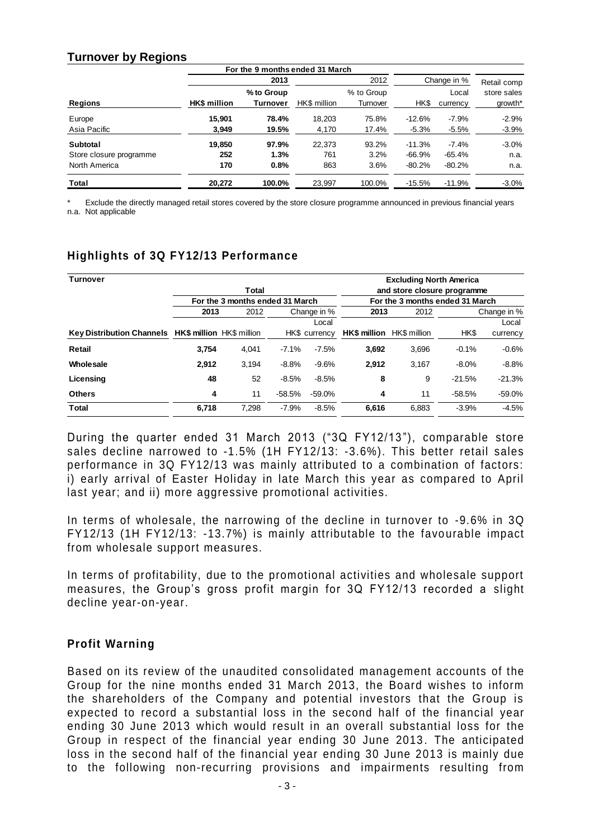#### **Turnover by Regions**

|                         |                     | For the 9 months ended 31 March |              |                        |             |                   |                        |
|-------------------------|---------------------|---------------------------------|--------------|------------------------|-------------|-------------------|------------------------|
|                         |                     | 2013                            | 2012         |                        | Change in % |                   | Retail comp            |
| <b>Regions</b>          | <b>HK\$</b> million | % to Group<br>Turnover          | HK\$ million | % to Group<br>Turnover | HK\$        | Local<br>currency | store sales<br>growth* |
| Europe                  | 15.901              | 78.4%                           | 18.203       | 75.8%                  | $-12.6%$    | $-7.9%$           | $-2.9%$                |
| Asia Pacific            | 3,949               | 19.5%                           | 4,170        | 17.4%                  | $-5.3%$     | $-5.5%$           | $-3.9%$                |
| Subtotal                | 19.850              | 97.9%                           | 22.373       | 93.2%                  | $-11.3%$    | $-7.4%$           | $-3.0%$                |
| Store closure programme | 252                 | 1.3%                            | 761          | 3.2%                   | $-66.9%$    | $-65.4%$          | n.a.                   |
| North America           | 170                 | 0.8%                            | 863          | 3.6%                   | $-80.2%$    | $-80.2%$          | n.a.                   |
| Total                   | 20.272              | 100.0%                          | 23.997       | 100.0%                 | $-15.5%$    | $-11.9%$          | $-3.0\%$               |

Exclude the directly managed retail stores covered by the store closure programme announced in previous financial years n.a. Not applicable

## **Highlights of 3Q FY12/13 Performance**

| Turnover                                            | <b>Excluding North America</b> |                                 |          |               |                                  |       |             |          |  |
|-----------------------------------------------------|--------------------------------|---------------------------------|----------|---------------|----------------------------------|-------|-------------|----------|--|
|                                                     | and store closure programme    |                                 |          |               |                                  |       |             |          |  |
|                                                     |                                | For the 3 months ended 31 March |          |               | For the 3 months ended 31 March  |       |             |          |  |
|                                                     | 2013                           | 2012                            |          | Change in %   | 2013                             |       | Change in % |          |  |
|                                                     |                                |                                 |          | Local         |                                  |       |             | Local    |  |
| Key Distribution Channels HK\$ million HK\$ million |                                |                                 |          | HK\$ currency | <b>HK\$ million</b> HK\$ million |       | HK\$        | currency |  |
| Retail                                              | 3.754                          | 4.041                           | $-7.1%$  | $-7.5%$       | 3.692                            | 3,696 | $-0.1%$     | $-0.6%$  |  |
| Wholesale                                           | 2.912                          | 3.194                           | $-8.8%$  | $-9.6%$       | 2.912                            | 3.167 | $-8.0%$     | $-8.8%$  |  |
| Licensing                                           | 48                             | 52                              | $-8.5%$  | $-8.5%$       | 8                                | 9     | $-21.5%$    | $-21.3%$ |  |
| <b>Others</b>                                       | 4                              | 11                              | $-58.5%$ | $-59.0%$      | 4                                | 11    | $-58.5%$    | $-59.0%$ |  |
| Total                                               | 6.718                          | 7.298                           | $-7.9%$  | $-8.5%$       | 6.616                            | 6.883 | $-3.9%$     | $-4.5%$  |  |

During the quarter ended 31 March 2013 ("3Q FY12/13 "), comparable store sales decline narrowed to -1.5% (1H FY12/13: -3.6%). This better retail sales performance in 3Q FY12/13 was mainly attributed to a combination of factors: i) early arrival of Easter Holiday in late March this year as compared to April last year; and ii) more aggressive promotional activities.

In terms of wholesale, the narrowing of the decline in turnover to -9.6% in 3Q FY12/13 (1H FY12/13: -13.7%) is mainly attributable to the favo urable impact from wholesale support measures.

In terms of profitability, due to the promotional activities and wholesale support measures, the Group's gross profit margin for 3Q FY12/13 recorded a slight decline year-on-year.

#### **Profit Warning**

Based on its review of the unaudited consolidated management accounts of the Group for the nine months ended 31 March 2013, the Board wishes to inform the shareholders of the Company and potential investors that the Group is expected to record a substantial loss in the second half of the financial year ending 30 June 2013 which would result in an overall substantial loss for the Group in respect of the financial year ending 30 June 2013 . The anticipated loss in the second half of the financial year ending 30 June 2013 is mainly due to the following non-recurring provisions and impairments resulting from